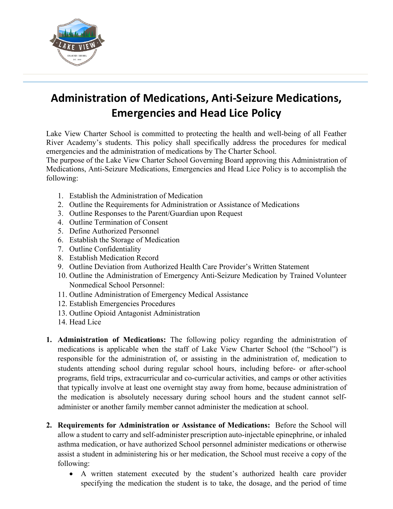

## **Administration of Medications, Anti-Seizure Medications, Emergencies and Head Lice Policy**

Lake View Charter School is committed to protecting the health and well-being of all Feather River Academy's students. This policy shall specifically address the procedures for medical emergencies and the administration of medications by The Charter School.

The purpose of the Lake View Charter School Governing Board approving this Administration of Medications, Anti-Seizure Medications, Emergencies and Head Lice Policy is to accomplish the following:

- 1. Establish the Administration of Medication
- 2. Outline the Requirements for Administration or Assistance of Medications
- 3. Outline Responses to the Parent/Guardian upon Request
- 4. Outline Termination of Consent
- 5. Define Authorized Personnel
- 6. Establish the Storage of Medication
- 7. Outline Confidentiality
- 8. Establish Medication Record
- 9. Outline Deviation from Authorized Health Care Provider's Written Statement
- 10. Outline the Administration of Emergency Anti-Seizure Medication by Trained Volunteer Nonmedical School Personnel:
- 11. Outline Administration of Emergency Medical Assistance
- 12. Establish Emergencies Procedures
- 13. Outline Opioid Antagonist Administration
- 14. Head Lice
- **1. Administration of Medications:** The following policy regarding the administration of medications is applicable when the staff of Lake View Charter School (the "School") is responsible for the administration of, or assisting in the administration of, medication to students attending school during regular school hours, including before- or after-school programs, field trips, extracurricular and co-curricular activities, and camps or other activities that typically involve at least one overnight stay away from home, because administration of the medication is absolutely necessary during school hours and the student cannot selfadminister or another family member cannot administer the medication at school.
- **2. Requirements for Administration or Assistance of Medications:** Before the School will allow a student to carry and self-administer prescription auto-injectable epinephrine, or inhaled asthma medication, or have authorized School personnel administer medications or otherwise assist a student in administering his or her medication, the School must receive a copy of the following:
	- A written statement executed by the student's authorized health care provider specifying the medication the student is to take, the dosage, and the period of time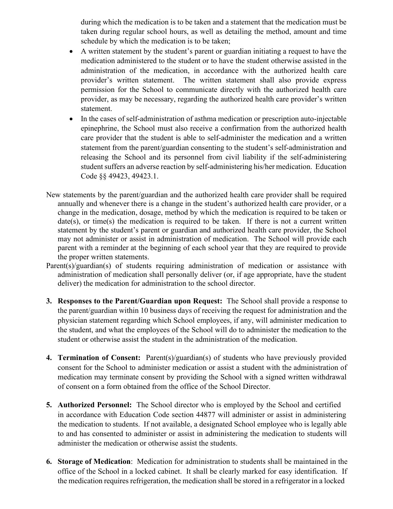during which the medication is to be taken and a statement that the medication must be taken during regular school hours, as well as detailing the method, amount and time schedule by which the medication is to be taken;

- A written statement by the student's parent or guardian initiating a request to have the medication administered to the student or to have the student otherwise assisted in the administration of the medication, in accordance with the authorized health care provider's written statement. The written statement shall also provide express permission for the School to communicate directly with the authorized health care provider, as may be necessary, regarding the authorized health care provider's written statement.
- In the cases of self-administration of asthma medication or prescription auto-injectable epinephrine, the School must also receive a confirmation from the authorized health care provider that the student is able to self-administer the medication and a written statement from the parent/guardian consenting to the student's self-administration and releasing the School and its personnel from civil liability if the self-administering student suffers an adverse reaction by self-administering his/her medication. Education Code §§ 49423, 49423.1.
- New statements by the parent/guardian and the authorized health care provider shall be required annually and whenever there is a change in the student's authorized health care provider, or a change in the medication, dosage, method by which the medication is required to be taken or date(s), or time(s) the medication is required to be taken. If there is not a current written statement by the student's parent or guardian and authorized health care provider, the School may not administer or assist in administration of medication. The School will provide each parent with a reminder at the beginning of each school year that they are required to provide the proper written statements.
- Parent(s)/guardian(s) of students requiring administration of medication or assistance with administration of medication shall personally deliver (or, if age appropriate, have the student deliver) the medication for administration to the school director.
- **3. Responses to the Parent/Guardian upon Request:** The School shall provide a response to the parent/guardian within 10 business days of receiving the request for administration and the physician statement regarding which School employees, if any, will administer medication to the student, and what the employees of the School will do to administer the medication to the student or otherwise assist the student in the administration of the medication.
- **4. Termination of Consent:** Parent(s)/guardian(s) of students who have previously provided consent for the School to administer medication or assist a student with the administration of medication may terminate consent by providing the School with a signed written withdrawal of consent on a form obtained from the office of the School Director.
- **5. Authorized Personnel:** The School director who is employed by the School and certified in accordance with Education Code section 44877 will administer or assist in administering the medication to students. If not available, a designated School employee who is legally able to and has consented to administer or assist in administering the medication to students will administer the medication or otherwise assist the students.
- **6. Storage of Medication**: Medication for administration to students shall be maintained in the office of the School in a locked cabinet. It shall be clearly marked for easy identification. If the medication requires refrigeration, the medication shall be stored in a refrigerator in a locked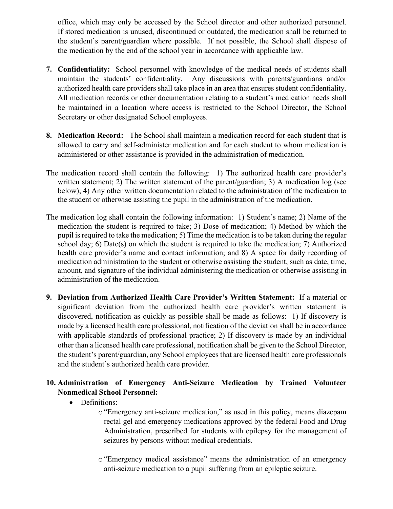office, which may only be accessed by the School director and other authorized personnel. If stored medication is unused, discontinued or outdated, the medication shall be returned to the student's parent/guardian where possible. If not possible, the School shall dispose of the medication by the end of the school year in accordance with applicable law.

- **7. Confidentiality:** School personnel with knowledge of the medical needs of students shall maintain the students' confidentiality. Any discussions with parents/guardians and/or authorized health care providers shall take place in an area that ensures student confidentiality. All medication records or other documentation relating to a student's medication needs shall be maintained in a location where access is restricted to the School Director, the School Secretary or other designated School employees.
- **8. Medication Record:** The School shall maintain a medication record for each student that is allowed to carry and self-administer medication and for each student to whom medication is administered or other assistance is provided in the administration of medication.
- The medication record shall contain the following: 1) The authorized health care provider's written statement; 2) The written statement of the parent/guardian; 3) A medication log (see below); 4) Any other written documentation related to the administration of the medication to the student or otherwise assisting the pupil in the administration of the medication.
- The medication log shall contain the following information: 1) Student's name; 2) Name of the medication the student is required to take; 3) Dose of medication; 4) Method by which the pupil is required to take the medication; 5) Time the medication is to be taken during the regular school day; 6) Date(s) on which the student is required to take the medication; 7) Authorized health care provider's name and contact information; and 8) A space for daily recording of medication administration to the student or otherwise assisting the student, such as date, time, amount, and signature of the individual administering the medication or otherwise assisting in administration of the medication.
- **9. Deviation from Authorized Health Care Provider's Written Statement:** If a material or significant deviation from the authorized health care provider's written statement is discovered, notification as quickly as possible shall be made as follows: 1) If discovery is made by a licensed health care professional, notification of the deviation shall be in accordance with applicable standards of professional practice; 2) If discovery is made by an individual other than a licensed health care professional, notification shall be given to the School Director, the student's parent/guardian, any School employees that are licensed health care professionals and the student's authorized health care provider.

## **10. Administration of Emergency Anti-Seizure Medication by Trained Volunteer Nonmedical School Personnel:**

- Definitions:
	- o "Emergency anti-seizure medication," as used in this policy, means diazepam rectal gel and emergency medications approved by the federal Food and Drug Administration, prescribed for students with epilepsy for the management of seizures by persons without medical credentials.
	- o"Emergency medical assistance" means the administration of an emergency anti-seizure medication to a pupil suffering from an epileptic seizure.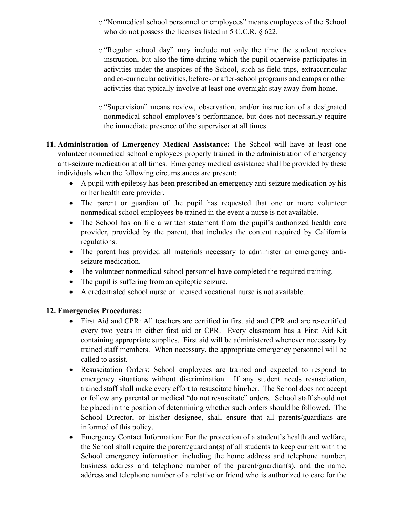- o"Nonmedical school personnel or employees" means employees of the School who do not possess the licenses listed in 5 C.C.R. § 622.
- o"Regular school day" may include not only the time the student receives instruction, but also the time during which the pupil otherwise participates in activities under the auspices of the School, such as field trips, extracurricular and co-curricular activities, before- or after-school programs and camps or other activities that typically involve at least one overnight stay away from home.
- o "Supervision" means review, observation, and/or instruction of a designated nonmedical school employee's performance, but does not necessarily require the immediate presence of the supervisor at all times.
- **11. Administration of Emergency Medical Assistance:** The School will have at least one volunteer nonmedical school employees properly trained in the administration of emergency anti-seizure medication at all times. Emergency medical assistance shall be provided by these individuals when the following circumstances are present:
	- A pupil with epilepsy has been prescribed an emergency anti-seizure medication by his or her health care provider.
	- The parent or guardian of the pupil has requested that one or more volunteer nonmedical school employees be trained in the event a nurse is not available.
	- The School has on file a written statement from the pupil's authorized health care provider, provided by the parent, that includes the content required by California regulations.
	- The parent has provided all materials necessary to administer an emergency antiseizure medication.
	- The volunteer nonmedical school personnel have completed the required training.
	- The pupil is suffering from an epileptic seizure.
	- A credentialed school nurse or licensed vocational nurse is not available.

## **12. Emergencies Procedures:**

- First Aid and CPR: All teachers are certified in first aid and CPR and are re-certified every two years in either first aid or CPR. Every classroom has a First Aid Kit containing appropriate supplies. First aid will be administered whenever necessary by trained staff members. When necessary, the appropriate emergency personnel will be called to assist.
- Resuscitation Orders: School employees are trained and expected to respond to emergency situations without discrimination. If any student needs resuscitation, trained staff shall make every effort to resuscitate him/her. The School does not accept or follow any parental or medical "do not resuscitate" orders. School staff should not be placed in the position of determining whether such orders should be followed. The School Director, or his/her designee, shall ensure that all parents/guardians are informed of this policy.
- Emergency Contact Information: For the protection of a student's health and welfare, the School shall require the parent/guardian(s) of all students to keep current with the School emergency information including the home address and telephone number, business address and telephone number of the parent/guardian(s), and the name, address and telephone number of a relative or friend who is authorized to care for the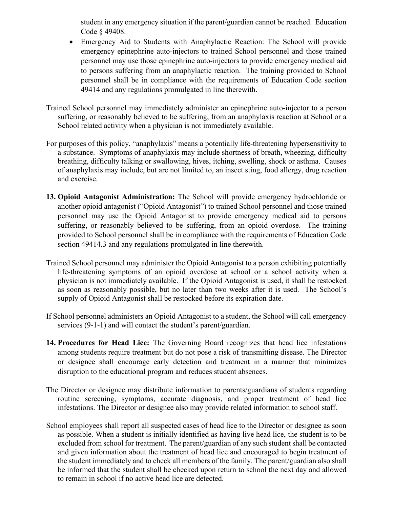student in any emergency situation if the parent/guardian cannot be reached. Education Code § 49408.

- Emergency Aid to Students with Anaphylactic Reaction: The School will provide emergency epinephrine auto-injectors to trained School personnel and those trained personnel may use those epinephrine auto-injectors to provide emergency medical aid to persons suffering from an anaphylactic reaction. The training provided to School personnel shall be in compliance with the requirements of Education Code section 49414 and any regulations promulgated in line therewith.
- Trained School personnel may immediately administer an epinephrine auto-injector to a person suffering, or reasonably believed to be suffering, from an anaphylaxis reaction at School or a School related activity when a physician is not immediately available.
- For purposes of this policy, "anaphylaxis" means a potentially life-threatening hypersensitivity to a substance. Symptoms of anaphylaxis may include shortness of breath, wheezing, difficulty breathing, difficulty talking or swallowing, hives, itching, swelling, shock or asthma. Causes of anaphylaxis may include, but are not limited to, an insect sting, food allergy, drug reaction and exercise.
- **13. Opioid Antagonist Administration:** The School will provide emergency hydrochloride or another opioid antagonist ("Opioid Antagonist") to trained School personnel and those trained personnel may use the Opioid Antagonist to provide emergency medical aid to persons suffering, or reasonably believed to be suffering, from an opioid overdose. The training provided to School personnel shall be in compliance with the requirements of Education Code section 49414.3 and any regulations promulgated in line therewith.
- Trained School personnel may administer the Opioid Antagonist to a person exhibiting potentially life-threatening symptoms of an opioid overdose at school or a school activity when a physician is not immediately available. If the Opioid Antagonist is used, it shall be restocked as soon as reasonably possible, but no later than two weeks after it is used. The School's supply of Opioid Antagonist shall be restocked before its expiration date.
- If School personnel administers an Opioid Antagonist to a student, the School will call emergency services (9-1-1) and will contact the student's parent/guardian.
- **14. Procedures for Head Lice:** The Governing Board recognizes that head lice infestations among students require treatment but do not pose a risk of transmitting disease. The Director or designee shall encourage early detection and treatment in a manner that minimizes disruption to the educational program and reduces student absences.
- The Director or designee may distribute information to parents/guardians of students regarding routine screening, symptoms, accurate diagnosis, and proper treatment of head lice infestations. The Director or designee also may provide related information to school staff.
- School employees shall report all suspected cases of head lice to the Director or designee as soon as possible. When a student is initially identified as having live head lice, the student is to be excluded from school for treatment. The parent/guardian of any such student shall be contacted and given information about the treatment of head lice and encouraged to begin treatment of the student immediately and to check all members of the family. The parent/guardian also shall be informed that the student shall be checked upon return to school the next day and allowed to remain in school if no active head lice are detected.